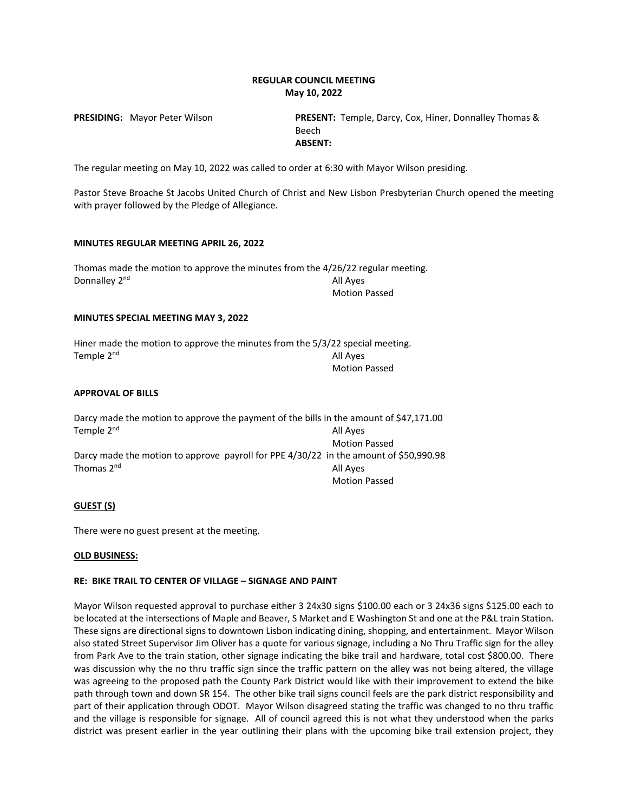# **REGULAR COUNCIL MEETING May 10, 2022**

**PRESIDING:** Mayor Peter Wilson **PRESENT:** Temple, Darcy, Cox, Hiner, Donnalley Thomas & Beech **ABSENT:**

The regular meeting on May 10, 2022 was called to order at 6:30 with Mayor Wilson presiding.

Pastor Steve Broache St Jacobs United Church of Christ and New Lisbon Presbyterian Church opened the meeting with prayer followed by the Pledge of Allegiance.

### **MINUTES REGULAR MEETING APRIL 26, 2022**

Thomas made the motion to approve the minutes from the 4/26/22 regular meeting. Donnalley 2<sup>nd</sup> All Ayes Motion Passed

#### **MINUTES SPECIAL MEETING MAY 3, 2022**

Hiner made the motion to approve the minutes from the 5/3/22 special meeting. Temple  $2^{nd}$  All Ayes Motion Passed

### **APPROVAL OF BILLS**

|                        | Darcy made the motion to approve the payment of the bills in the amount of \$47,171.00 |
|------------------------|----------------------------------------------------------------------------------------|
| Temple 2 <sup>nd</sup> | All Aves                                                                               |
|                        | <b>Motion Passed</b>                                                                   |
|                        | Darcy made the motion to approve payroll for PPE 4/30/22 in the amount of \$50,990.98  |
| Thomas 2 <sup>nd</sup> | All Aves                                                                               |
|                        | <b>Motion Passed</b>                                                                   |

## **GUEST (S)**

There were no guest present at the meeting.

#### **OLD BUSINESS:**

## **RE: BIKE TRAIL TO CENTER OF VILLAGE – SIGNAGE AND PAINT**

Mayor Wilson requested approval to purchase either 3 24x30 signs \$100.00 each or 3 24x36 signs \$125.00 each to be located at the intersections of Maple and Beaver, S Market and E Washington St and one at the P&L train Station. These signs are directional signs to downtown Lisbon indicating dining, shopping, and entertainment. Mayor Wilson also stated Street Supervisor Jim Oliver has a quote for various signage, including a No Thru Traffic sign for the alley from Park Ave to the train station, other signage indicating the bike trail and hardware, total cost \$800.00. There was discussion why the no thru traffic sign since the traffic pattern on the alley was not being altered, the village was agreeing to the proposed path the County Park District would like with their improvement to extend the bike path through town and down SR 154. The other bike trail signs council feels are the park district responsibility and part of their application through ODOT. Mayor Wilson disagreed stating the traffic was changed to no thru traffic and the village is responsible for signage. All of council agreed this is not what they understood when the parks district was present earlier in the year outlining their plans with the upcoming bike trail extension project, they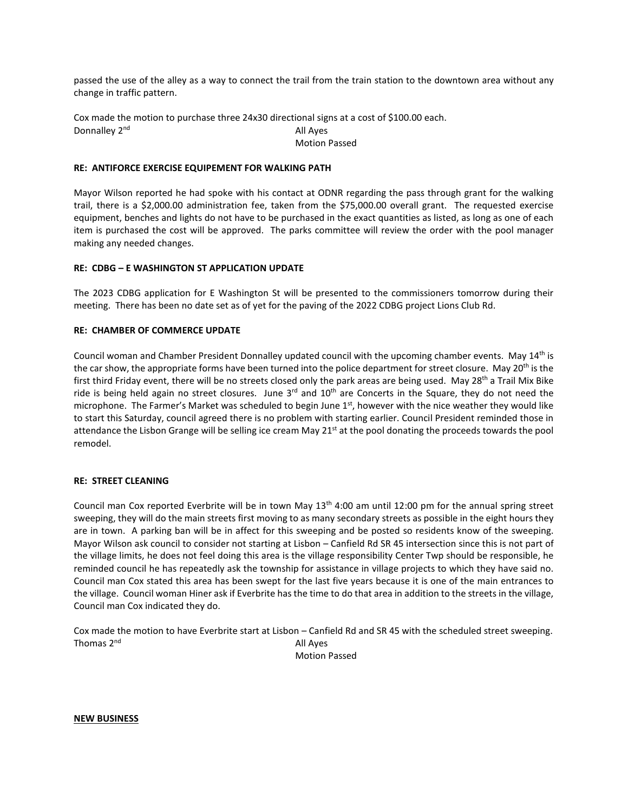passed the use of the alley as a way to connect the trail from the train station to the downtown area without any change in traffic pattern.

Cox made the motion to purchase three 24x30 directional signs at a cost of \$100.00 each. Donnalley 2<sup>nd</sup> All Ayes

Motion Passed

## **RE: ANTIFORCE EXERCISE EQUIPEMENT FOR WALKING PATH**

Mayor Wilson reported he had spoke with his contact at ODNR regarding the pass through grant for the walking trail, there is a \$2,000.00 administration fee, taken from the \$75,000.00 overall grant. The requested exercise equipment, benches and lights do not have to be purchased in the exact quantities as listed, as long as one of each item is purchased the cost will be approved. The parks committee will review the order with the pool manager making any needed changes.

## **RE: CDBG – E WASHINGTON ST APPLICATION UPDATE**

The 2023 CDBG application for E Washington St will be presented to the commissioners tomorrow during their meeting. There has been no date set as of yet for the paving of the 2022 CDBG project Lions Club Rd.

## **RE: CHAMBER OF COMMERCE UPDATE**

Council woman and Chamber President Donnalley updated council with the upcoming chamber events. May 14<sup>th</sup> is the car show, the appropriate forms have been turned into the police department for street closure. May 20<sup>th</sup> is the first third Friday event, there will be no streets closed only the park areas are being used. May 28<sup>th</sup> a Trail Mix Bike ride is being held again no street closures. June  $3^{rd}$  and  $10^{th}$  are Concerts in the Square, they do not need the microphone. The Farmer's Market was scheduled to begin June  $1<sup>st</sup>$ , however with the nice weather they would like to start this Saturday, council agreed there is no problem with starting earlier. Council President reminded those in attendance the Lisbon Grange will be selling ice cream May  $21<sup>st</sup>$  at the pool donating the proceeds towards the pool remodel.

## **RE: STREET CLEANING**

Council man Cox reported Everbrite will be in town May  $13<sup>th</sup>$  4:00 am until 12:00 pm for the annual spring street sweeping, they will do the main streets first moving to as many secondary streets as possible in the eight hours they are in town. A parking ban will be in affect for this sweeping and be posted so residents know of the sweeping. Mayor Wilson ask council to consider not starting at Lisbon – Canfield Rd SR 45 intersection since this is not part of the village limits, he does not feel doing this area is the village responsibility Center Twp should be responsible, he reminded council he has repeatedly ask the township for assistance in village projects to which they have said no. Council man Cox stated this area has been swept for the last five years because it is one of the main entrances to the village. Council woman Hiner ask if Everbrite has the time to do that area in addition to the streets in the village, Council man Cox indicated they do.

Cox made the motion to have Everbrite start at Lisbon – Canfield Rd and SR 45 with the scheduled street sweeping. Thomas  $2^{nd}$  and  $4^{nd}$  and  $4^{nd}$  and  $4^{nd}$  and  $4^{nd}$  and  $4^{nd}$  and  $4^{nd}$  and  $4^{nd}$  and  $4^{nd}$  and  $4^{nd}$  and  $4^{nd}$  and  $4^{nd}$  and  $4^{nd}$  and  $4^{nd}$  and  $4^{nd}$  and  $4^{nd}$  and  $4^{nd}$  and  $4^{nd}$  and  $4^{nd}$  and  $4^{nd}$ 

Motion Passed

**NEW BUSINESS**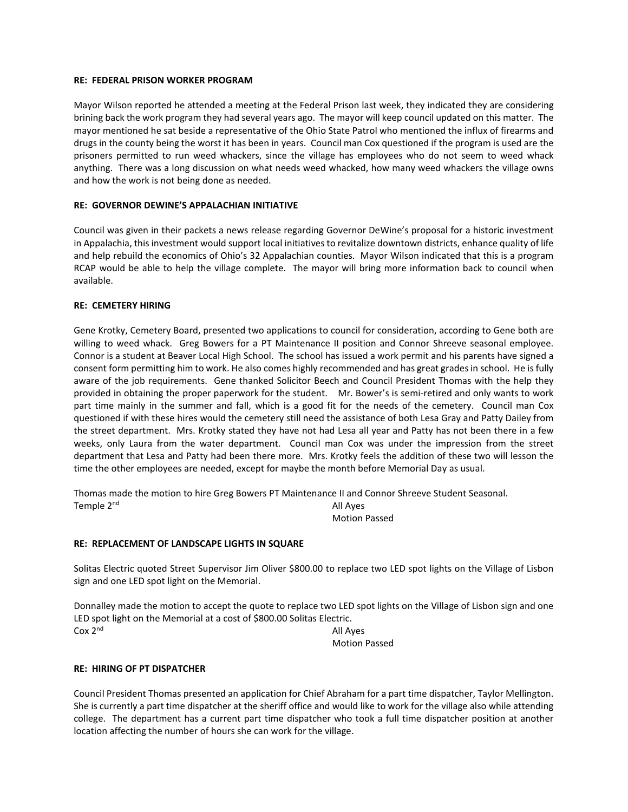## **RE: FEDERAL PRISON WORKER PROGRAM**

Mayor Wilson reported he attended a meeting at the Federal Prison last week, they indicated they are considering brining back the work program they had several years ago. The mayor will keep council updated on this matter. The mayor mentioned he sat beside a representative of the Ohio State Patrol who mentioned the influx of firearms and drugs in the county being the worst it has been in years. Council man Cox questioned if the program is used are the prisoners permitted to run weed whackers, since the village has employees who do not seem to weed whack anything. There was a long discussion on what needs weed whacked, how many weed whackers the village owns and how the work is not being done as needed.

# **RE: GOVERNOR DEWINE'S APPALACHIAN INITIATIVE**

Council was given in their packets a news release regarding Governor DeWine's proposal for a historic investment in Appalachia, this investment would support local initiatives to revitalize downtown districts, enhance quality of life and help rebuild the economics of Ohio's 32 Appalachian counties. Mayor Wilson indicated that this is a program RCAP would be able to help the village complete. The mayor will bring more information back to council when available.

# **RE: CEMETERY HIRING**

Gene Krotky, Cemetery Board, presented two applications to council for consideration, according to Gene both are willing to weed whack. Greg Bowers for a PT Maintenance II position and Connor Shreeve seasonal employee. Connor is a student at Beaver Local High School. The school has issued a work permit and his parents have signed a consent form permitting him to work. He also comes highly recommended and has great grades in school. He is fully aware of the job requirements. Gene thanked Solicitor Beech and Council President Thomas with the help they provided in obtaining the proper paperwork for the student. Mr. Bower's is semi-retired and only wants to work part time mainly in the summer and fall, which is a good fit for the needs of the cemetery. Council man Cox questioned if with these hires would the cemetery still need the assistance of both Lesa Gray and Patty Dailey from the street department. Mrs. Krotky stated they have not had Lesa all year and Patty has not been there in a few weeks, only Laura from the water department. Council man Cox was under the impression from the street department that Lesa and Patty had been there more. Mrs. Krotky feels the addition of these two will lesson the time the other employees are needed, except for maybe the month before Memorial Day as usual.

Thomas made the motion to hire Greg Bowers PT Maintenance II and Connor Shreeve Student Seasonal. Temple 2<sup>nd</sup> All Ayes Motion Passed

## **RE: REPLACEMENT OF LANDSCAPE LIGHTS IN SQUARE**

Solitas Electric quoted Street Supervisor Jim Oliver \$800.00 to replace two LED spot lights on the Village of Lisbon sign and one LED spot light on the Memorial.

Donnalley made the motion to accept the quote to replace two LED spot lights on the Village of Lisbon sign and one LED spot light on the Memorial at a cost of \$800.00 Solitas Electric. Cox 2<sup>nd</sup> All Ayes

Motion Passed

## **RE: HIRING OF PT DISPATCHER**

Council President Thomas presented an application for Chief Abraham for a part time dispatcher, Taylor Mellington. She is currently a part time dispatcher at the sheriff office and would like to work for the village also while attending college. The department has a current part time dispatcher who took a full time dispatcher position at another location affecting the number of hours she can work for the village.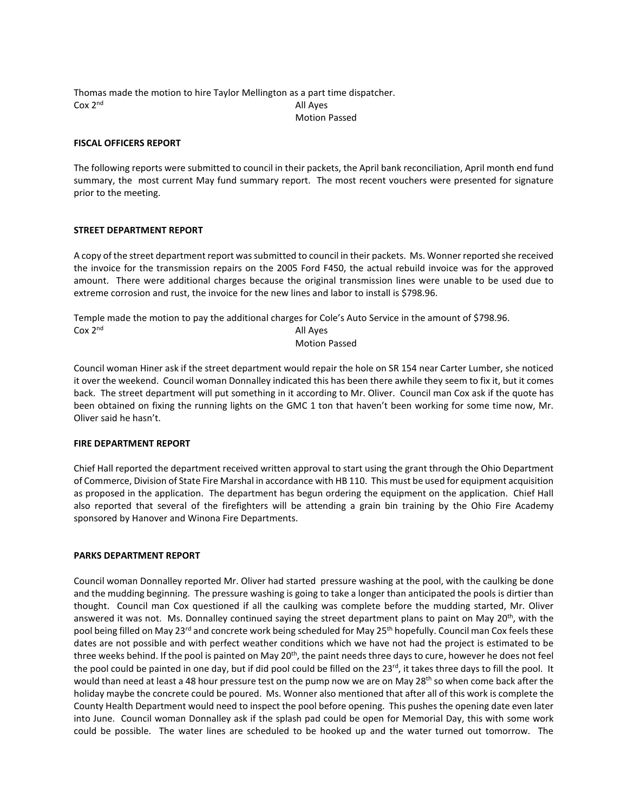Thomas made the motion to hire Taylor Mellington as a part time dispatcher.  $Cox 2<sup>nd</sup>$  All Ayes Motion Passed

### **FISCAL OFFICERS REPORT**

The following reports were submitted to council in their packets, the April bank reconciliation, April month end fund summary, the most current May fund summary report. The most recent vouchers were presented for signature prior to the meeting.

### **STREET DEPARTMENT REPORT**

A copy of the street department report was submitted to council in their packets. Ms. Wonner reported she received the invoice for the transmission repairs on the 2005 Ford F450, the actual rebuild invoice was for the approved amount. There were additional charges because the original transmission lines were unable to be used due to extreme corrosion and rust, the invoice for the new lines and labor to install is \$798.96.

Temple made the motion to pay the additional charges for Cole's Auto Service in the amount of \$798.96.  $\cos 2^{nd}$  All Ayes

### Motion Passed

Council woman Hiner ask if the street department would repair the hole on SR 154 near Carter Lumber, she noticed it over the weekend. Council woman Donnalley indicated this has been there awhile they seem to fix it, but it comes back. The street department will put something in it according to Mr. Oliver. Council man Cox ask if the quote has been obtained on fixing the running lights on the GMC 1 ton that haven't been working for some time now, Mr. Oliver said he hasn't.

#### **FIRE DEPARTMENT REPORT**

Chief Hall reported the department received written approval to start using the grant through the Ohio Department of Commerce, Division of State Fire Marshal in accordance with HB 110. This must be used for equipment acquisition as proposed in the application. The department has begun ordering the equipment on the application. Chief Hall also reported that several of the firefighters will be attending a grain bin training by the Ohio Fire Academy sponsored by Hanover and Winona Fire Departments.

## **PARKS DEPARTMENT REPORT**

Council woman Donnalley reported Mr. Oliver had started pressure washing at the pool, with the caulking be done and the mudding beginning. The pressure washing is going to take a longer than anticipated the pools is dirtier than thought. Council man Cox questioned if all the caulking was complete before the mudding started, Mr. Oliver answered it was not. Ms. Donnalley continued saying the street department plans to paint on May 20<sup>th</sup>, with the pool being filled on May 23<sup>rd</sup> and concrete work being scheduled for May 25<sup>th</sup> hopefully. Council man Cox feels these dates are not possible and with perfect weather conditions which we have not had the project is estimated to be three weeks behind. If the pool is painted on May 20<sup>th</sup>, the paint needs three days to cure, however he does not feel the pool could be painted in one day, but if did pool could be filled on the  $23^{\text{rd}}$ , it takes three days to fill the pool. It would than need at least a 48 hour pressure test on the pump now we are on May 28<sup>th</sup> so when come back after the holiday maybe the concrete could be poured. Ms. Wonner also mentioned that after all of this work is complete the County Health Department would need to inspect the pool before opening. This pushes the opening date even later into June. Council woman Donnalley ask if the splash pad could be open for Memorial Day, this with some work could be possible. The water lines are scheduled to be hooked up and the water turned out tomorrow. The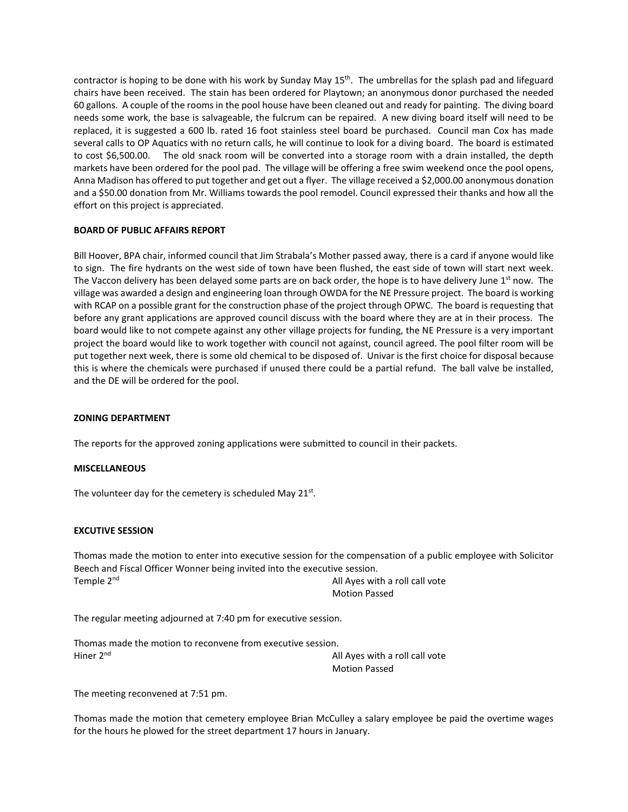contractor is hoping to be done with his work by Sunday May  $15<sup>th</sup>$ . The umbrellas for the splash pad and lifeguard chairs have been received. The stain has been ordered for Playtown; an anonymous donor purchased the needed 60 gallons. A couple of the rooms in the pool house have been cleaned out and ready for painting. The diving board needs some work, the base is salvageable, the fulcrum can be repaired. A new diving board itself will need to be replaced, it is suggested a 600 lb. rated 16 foot stainless steel board be purchased. Council man Cox has made several calls to OP Aquatics with no return calls, he will continue to look for a diving board. The board is estimated to cost \$6,500.00. The old snack room will be converted into a storage room with a drain installed, the depth markets have been ordered for the pool pad. The village will be offering a free swim weekend once the pool opens, Anna Madison has offered to put together and get out a flyer. The village received a \$2,000.00 anonymous donation and a \$50.00 donation from Mr. Williams towards the pool remodel. Council expressed their thanks and how all the effort on this project is appreciated.

# **BOARD OF PUBLIC AFFAIRS REPORT**

Bill Hoover, BPA chair, informed council that Jim Strabala's Mother passed away, there is a card if anyone would like to sign. The fire hydrants on the west side of town have been flushed, the east side of town will start next week. The Vaccon delivery has been delayed some parts are on back order, the hope is to have delivery June  $1<sup>st</sup>$  now. The village was awarded a design and engineering loan through OWDA for the NE Pressure project. The board is working with RCAP on a possible grant for the construction phase of the project through OPWC. The board is requesting that before any grant applications are approved council discuss with the board where they are at in their process. The board would like to not compete against any other village projects for funding, the NE Pressure is a very important project the board would like to work together with council not against, council agreed. The pool filter room will be put together next week, there is some old chemical to be disposed of. Univar is the first choice for disposal because this is where the chemicals were purchased if unused there could be a partial refund. The ball valve be installed, and the DE will be ordered for the pool.

## **ZONING DEPARTMENT**

The reports for the approved zoning applications were submitted to council in their packets.

## **MISCELLANEOUS**

The volunteer day for the cemetery is scheduled May 21st.

## **EXCUTIVE SESSION**

Thomas made the motion to enter into executive session for the compensation of a public employee with Solicitor Beech and Fiscal Officer Wonner being invited into the executive session. Temple 2<sup>nd</sup> All Ayes with a roll call vote Motion Passed

The regular meeting adjourned at 7:40 pm for executive session.

Thomas made the motion to reconvene from executive session. Hiner 2<sup>nd</sup> All Ayes with a roll call vote

Motion Passed

The meeting reconvened at 7:51 pm.

Thomas made the motion that cemetery employee Brian McCulley a salary employee be paid the overtime wages for the hours he plowed for the street department 17 hours in January.